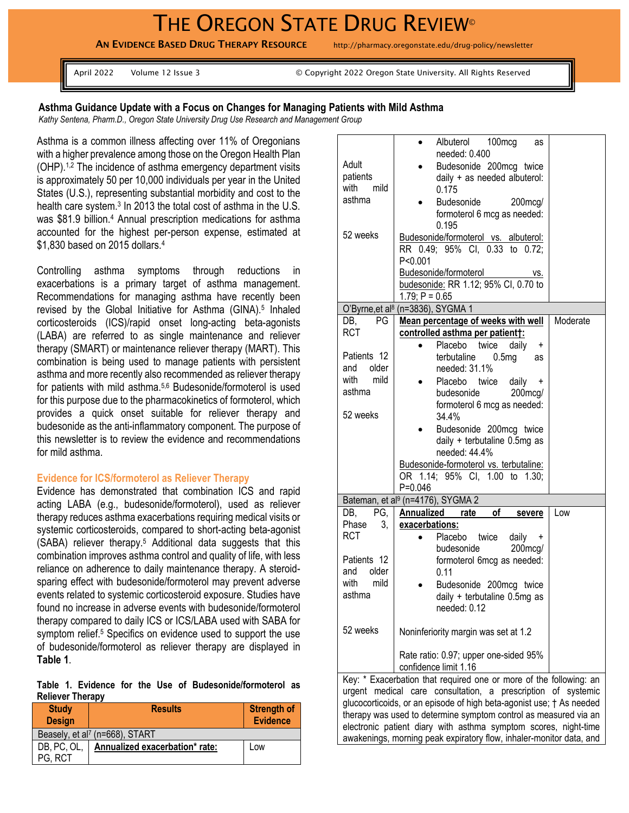# THE OREGON STATE DRUG REVIEW<sup>®</sup>

AN EVIDENCE BASED DRUG THERAPY RESOURCE http://pharmacy.oregonstate.edu/drug-policy/newsletter

April 2022 Volume 12 Issue 3 © Copyright 2022 Oregon State University. All Rights Reserved

# **Asthma Guidance Update with a Focus on Changes for Managing Patients with Mild Asthma**

*Kathy Sentena, Pharm.D., Oregon State University Drug Use Research and Management Group*

Asthma is a common illness affecting over 11% of Oregonians with a higher prevalence among those on the Oregon Health Plan  $(OHP)$ .<sup>1,2</sup> The incidence of asthma emergency department visits is approximately 50 per 10,000 individuals per year in the United States (U.S.), representing substantial morbidity and cost to the health care system.<sup>3</sup> In 2013 the total cost of asthma in the U.S. was \$81.9 billion.<sup>4</sup> Annual prescription medications for asthma accounted for the highest per-person expense, estimated at \$1,830 based on 2015 dollars.<sup>4</sup>

Controlling asthma symptoms through reductions in exacerbations is a primary target of asthma management. Recommendations for managing asthma have recently been revised by the Global Initiative for Asthma (GINA).<sup>5</sup> Inhaled corticosteroids (ICS)/rapid onset long-acting beta-agonists (LABA) are referred to as single maintenance and reliever therapy (SMART) or maintenance reliever therapy (MART). This combination is being used to manage patients with persistent asthma and more recently also recommended as reliever therapy for patients with mild asthma.5,6 Budesonide/formoterol is used for this purpose due to the pharmacokinetics of formoterol, which provides a quick onset suitable for reliever therapy and budesonide as the anti-inflammatory component. The purpose of this newsletter is to review the evidence and recommendations for mild asthma.

## **Evidence for ICS/formoterol as Reliever Therapy**

Evidence has demonstrated that combination ICS and rapid acting LABA (e.g., budesonide/formoterol), used as reliever therapy reduces asthma exacerbations requiring medical visits or systemic corticosteroids, compared to short-acting beta-agonist (SABA) reliever therapy. <sup>5</sup> Additional data suggests that this combination improves asthma control and quality of life, with less reliance on adherence to daily maintenance therapy. A steroidsparing effect with budesonide/formoterol may prevent adverse events related to systemic corticosteroid exposure. Studies have found no increase in adverse events with budesonide/formoterol therapy compared to daily ICS or ICS/LABA used with SABA for symptom relief.<sup>5</sup> Specifics on evidence used to support the use of budesonide/formoterol as reliever therapy are displayed in **Table 1**.

|  |                         |  |  | Table 1. Evidence for the Use of Budesonide/formoterol as |  |
|--|-------------------------|--|--|-----------------------------------------------------------|--|
|  | <b>Reliever Therapy</b> |  |  |                                                           |  |

| <b>Study</b><br><b>Design</b>              | <b>Results</b>                        | <b>Strength of</b><br><b>Evidence</b> |  |
|--------------------------------------------|---------------------------------------|---------------------------------------|--|
| Beasely, et al <sup>7</sup> (n=668), START |                                       |                                       |  |
| DB, PC, OL,                                | Annualized exacerbation* rate:<br>Low |                                       |  |
| PG, RCT                                    |                                       |                                       |  |

| Albuterol 100mcg<br>as<br>needed: 0.400<br>Adult<br>Budesonide 200mcg twice<br>patients<br>daily + as needed albuterol:<br>with<br>mild<br>0.175<br>asthma<br>Budesonide<br>200mcg/<br>formoterol 6 mcg as needed:<br>0.195<br>52 weeks<br>Budesonide/formoterol vs. albuterol:<br>RR 0.49; 95% CI, 0.33 to 0.72;<br>P<0.001<br>Budesonide/formoterol<br>VS.<br>budesonide: RR 1.12; 95% CI, 0.70 to<br>$1.79; P = 0.65$<br>O'Byrne, et al <sup>8</sup> (n=3836), SYGMA 1<br>Mean percentage of weeks with well<br>Moderate<br>DB, PG<br><b>RCT</b><br>controlled asthma per patientt:<br>Placebo twice<br>daily<br>$\ddot{\phantom{1}}$<br>Patients 12<br>terbutaline 0.5mg<br>as<br>older<br>and<br>needed: 31.1%<br>with mild<br>Placebo twice daily<br>$+$<br>asthma<br>budesonide<br>$200$ mcg/<br>formoterol 6 mcg as needed:<br>52 weeks<br>34.4%<br>Budesonide 200mcg twice<br>daily + terbutaline $0.5mg$ as<br>needed: 44.4%<br>Budesonide-formoterol vs. terbutaline:<br>OR 1.14; 95% CI, 1.00 to 1.30;<br>$P = 0.046$<br>Bateman, et al <sup>9</sup> (n=4176), SYGMA 2<br>Annualized rate of<br>DB,<br>PG,<br>Low<br>severe<br>3,<br>exacerbations:<br>Phase<br><b>RCT</b><br>Placebo twice daily<br>$\ddot{}$<br>200mcg/<br>budesonide<br>Patients 12<br>formoterol 6mcg as needed:<br>older<br>and<br>0.11<br>with<br>mild<br>Budesonide 200mcg twice<br>asthma<br>daily + terbutaline $0.5mg$ as<br>needed: 0.12<br>52 weeks<br>Noninferiority margin was set at 1.2<br>Rate ratio: 0.97; upper one-sided 95%<br>confidence limit 1.16<br>Key: * Exacerbation that required one or more of the following: an<br>urgent medical care consultation, a prescription of systemic<br>glucocorticoids, or an episode of high beta-agonist use; † As needed<br>therapy was used to determine symptom control as measured via an<br>electronic patient diary with asthma symptom scores, night-time<br>awakenings, morning peak expiratory flow, inhaler-monitor data, and |  |  |  |  |  |  |
|-----------------------------------------------------------------------------------------------------------------------------------------------------------------------------------------------------------------------------------------------------------------------------------------------------------------------------------------------------------------------------------------------------------------------------------------------------------------------------------------------------------------------------------------------------------------------------------------------------------------------------------------------------------------------------------------------------------------------------------------------------------------------------------------------------------------------------------------------------------------------------------------------------------------------------------------------------------------------------------------------------------------------------------------------------------------------------------------------------------------------------------------------------------------------------------------------------------------------------------------------------------------------------------------------------------------------------------------------------------------------------------------------------------------------------------------------------------------------------------------------------------------------------------------------------------------------------------------------------------------------------------------------------------------------------------------------------------------------------------------------------------------------------------------------------------------------------------------------------------------------------------------------------------------------------------------------------------------------------------|--|--|--|--|--|--|
|                                                                                                                                                                                                                                                                                                                                                                                                                                                                                                                                                                                                                                                                                                                                                                                                                                                                                                                                                                                                                                                                                                                                                                                                                                                                                                                                                                                                                                                                                                                                                                                                                                                                                                                                                                                                                                                                                                                                                                                   |  |  |  |  |  |  |
|                                                                                                                                                                                                                                                                                                                                                                                                                                                                                                                                                                                                                                                                                                                                                                                                                                                                                                                                                                                                                                                                                                                                                                                                                                                                                                                                                                                                                                                                                                                                                                                                                                                                                                                                                                                                                                                                                                                                                                                   |  |  |  |  |  |  |
|                                                                                                                                                                                                                                                                                                                                                                                                                                                                                                                                                                                                                                                                                                                                                                                                                                                                                                                                                                                                                                                                                                                                                                                                                                                                                                                                                                                                                                                                                                                                                                                                                                                                                                                                                                                                                                                                                                                                                                                   |  |  |  |  |  |  |
|                                                                                                                                                                                                                                                                                                                                                                                                                                                                                                                                                                                                                                                                                                                                                                                                                                                                                                                                                                                                                                                                                                                                                                                                                                                                                                                                                                                                                                                                                                                                                                                                                                                                                                                                                                                                                                                                                                                                                                                   |  |  |  |  |  |  |
|                                                                                                                                                                                                                                                                                                                                                                                                                                                                                                                                                                                                                                                                                                                                                                                                                                                                                                                                                                                                                                                                                                                                                                                                                                                                                                                                                                                                                                                                                                                                                                                                                                                                                                                                                                                                                                                                                                                                                                                   |  |  |  |  |  |  |
|                                                                                                                                                                                                                                                                                                                                                                                                                                                                                                                                                                                                                                                                                                                                                                                                                                                                                                                                                                                                                                                                                                                                                                                                                                                                                                                                                                                                                                                                                                                                                                                                                                                                                                                                                                                                                                                                                                                                                                                   |  |  |  |  |  |  |
|                                                                                                                                                                                                                                                                                                                                                                                                                                                                                                                                                                                                                                                                                                                                                                                                                                                                                                                                                                                                                                                                                                                                                                                                                                                                                                                                                                                                                                                                                                                                                                                                                                                                                                                                                                                                                                                                                                                                                                                   |  |  |  |  |  |  |
|                                                                                                                                                                                                                                                                                                                                                                                                                                                                                                                                                                                                                                                                                                                                                                                                                                                                                                                                                                                                                                                                                                                                                                                                                                                                                                                                                                                                                                                                                                                                                                                                                                                                                                                                                                                                                                                                                                                                                                                   |  |  |  |  |  |  |
|                                                                                                                                                                                                                                                                                                                                                                                                                                                                                                                                                                                                                                                                                                                                                                                                                                                                                                                                                                                                                                                                                                                                                                                                                                                                                                                                                                                                                                                                                                                                                                                                                                                                                                                                                                                                                                                                                                                                                                                   |  |  |  |  |  |  |
|                                                                                                                                                                                                                                                                                                                                                                                                                                                                                                                                                                                                                                                                                                                                                                                                                                                                                                                                                                                                                                                                                                                                                                                                                                                                                                                                                                                                                                                                                                                                                                                                                                                                                                                                                                                                                                                                                                                                                                                   |  |  |  |  |  |  |
|                                                                                                                                                                                                                                                                                                                                                                                                                                                                                                                                                                                                                                                                                                                                                                                                                                                                                                                                                                                                                                                                                                                                                                                                                                                                                                                                                                                                                                                                                                                                                                                                                                                                                                                                                                                                                                                                                                                                                                                   |  |  |  |  |  |  |
|                                                                                                                                                                                                                                                                                                                                                                                                                                                                                                                                                                                                                                                                                                                                                                                                                                                                                                                                                                                                                                                                                                                                                                                                                                                                                                                                                                                                                                                                                                                                                                                                                                                                                                                                                                                                                                                                                                                                                                                   |  |  |  |  |  |  |
|                                                                                                                                                                                                                                                                                                                                                                                                                                                                                                                                                                                                                                                                                                                                                                                                                                                                                                                                                                                                                                                                                                                                                                                                                                                                                                                                                                                                                                                                                                                                                                                                                                                                                                                                                                                                                                                                                                                                                                                   |  |  |  |  |  |  |
|                                                                                                                                                                                                                                                                                                                                                                                                                                                                                                                                                                                                                                                                                                                                                                                                                                                                                                                                                                                                                                                                                                                                                                                                                                                                                                                                                                                                                                                                                                                                                                                                                                                                                                                                                                                                                                                                                                                                                                                   |  |  |  |  |  |  |
|                                                                                                                                                                                                                                                                                                                                                                                                                                                                                                                                                                                                                                                                                                                                                                                                                                                                                                                                                                                                                                                                                                                                                                                                                                                                                                                                                                                                                                                                                                                                                                                                                                                                                                                                                                                                                                                                                                                                                                                   |  |  |  |  |  |  |
|                                                                                                                                                                                                                                                                                                                                                                                                                                                                                                                                                                                                                                                                                                                                                                                                                                                                                                                                                                                                                                                                                                                                                                                                                                                                                                                                                                                                                                                                                                                                                                                                                                                                                                                                                                                                                                                                                                                                                                                   |  |  |  |  |  |  |
|                                                                                                                                                                                                                                                                                                                                                                                                                                                                                                                                                                                                                                                                                                                                                                                                                                                                                                                                                                                                                                                                                                                                                                                                                                                                                                                                                                                                                                                                                                                                                                                                                                                                                                                                                                                                                                                                                                                                                                                   |  |  |  |  |  |  |
|                                                                                                                                                                                                                                                                                                                                                                                                                                                                                                                                                                                                                                                                                                                                                                                                                                                                                                                                                                                                                                                                                                                                                                                                                                                                                                                                                                                                                                                                                                                                                                                                                                                                                                                                                                                                                                                                                                                                                                                   |  |  |  |  |  |  |
|                                                                                                                                                                                                                                                                                                                                                                                                                                                                                                                                                                                                                                                                                                                                                                                                                                                                                                                                                                                                                                                                                                                                                                                                                                                                                                                                                                                                                                                                                                                                                                                                                                                                                                                                                                                                                                                                                                                                                                                   |  |  |  |  |  |  |
|                                                                                                                                                                                                                                                                                                                                                                                                                                                                                                                                                                                                                                                                                                                                                                                                                                                                                                                                                                                                                                                                                                                                                                                                                                                                                                                                                                                                                                                                                                                                                                                                                                                                                                                                                                                                                                                                                                                                                                                   |  |  |  |  |  |  |
|                                                                                                                                                                                                                                                                                                                                                                                                                                                                                                                                                                                                                                                                                                                                                                                                                                                                                                                                                                                                                                                                                                                                                                                                                                                                                                                                                                                                                                                                                                                                                                                                                                                                                                                                                                                                                                                                                                                                                                                   |  |  |  |  |  |  |
|                                                                                                                                                                                                                                                                                                                                                                                                                                                                                                                                                                                                                                                                                                                                                                                                                                                                                                                                                                                                                                                                                                                                                                                                                                                                                                                                                                                                                                                                                                                                                                                                                                                                                                                                                                                                                                                                                                                                                                                   |  |  |  |  |  |  |
|                                                                                                                                                                                                                                                                                                                                                                                                                                                                                                                                                                                                                                                                                                                                                                                                                                                                                                                                                                                                                                                                                                                                                                                                                                                                                                                                                                                                                                                                                                                                                                                                                                                                                                                                                                                                                                                                                                                                                                                   |  |  |  |  |  |  |
|                                                                                                                                                                                                                                                                                                                                                                                                                                                                                                                                                                                                                                                                                                                                                                                                                                                                                                                                                                                                                                                                                                                                                                                                                                                                                                                                                                                                                                                                                                                                                                                                                                                                                                                                                                                                                                                                                                                                                                                   |  |  |  |  |  |  |
|                                                                                                                                                                                                                                                                                                                                                                                                                                                                                                                                                                                                                                                                                                                                                                                                                                                                                                                                                                                                                                                                                                                                                                                                                                                                                                                                                                                                                                                                                                                                                                                                                                                                                                                                                                                                                                                                                                                                                                                   |  |  |  |  |  |  |
|                                                                                                                                                                                                                                                                                                                                                                                                                                                                                                                                                                                                                                                                                                                                                                                                                                                                                                                                                                                                                                                                                                                                                                                                                                                                                                                                                                                                                                                                                                                                                                                                                                                                                                                                                                                                                                                                                                                                                                                   |  |  |  |  |  |  |
|                                                                                                                                                                                                                                                                                                                                                                                                                                                                                                                                                                                                                                                                                                                                                                                                                                                                                                                                                                                                                                                                                                                                                                                                                                                                                                                                                                                                                                                                                                                                                                                                                                                                                                                                                                                                                                                                                                                                                                                   |  |  |  |  |  |  |
|                                                                                                                                                                                                                                                                                                                                                                                                                                                                                                                                                                                                                                                                                                                                                                                                                                                                                                                                                                                                                                                                                                                                                                                                                                                                                                                                                                                                                                                                                                                                                                                                                                                                                                                                                                                                                                                                                                                                                                                   |  |  |  |  |  |  |
|                                                                                                                                                                                                                                                                                                                                                                                                                                                                                                                                                                                                                                                                                                                                                                                                                                                                                                                                                                                                                                                                                                                                                                                                                                                                                                                                                                                                                                                                                                                                                                                                                                                                                                                                                                                                                                                                                                                                                                                   |  |  |  |  |  |  |
|                                                                                                                                                                                                                                                                                                                                                                                                                                                                                                                                                                                                                                                                                                                                                                                                                                                                                                                                                                                                                                                                                                                                                                                                                                                                                                                                                                                                                                                                                                                                                                                                                                                                                                                                                                                                                                                                                                                                                                                   |  |  |  |  |  |  |
|                                                                                                                                                                                                                                                                                                                                                                                                                                                                                                                                                                                                                                                                                                                                                                                                                                                                                                                                                                                                                                                                                                                                                                                                                                                                                                                                                                                                                                                                                                                                                                                                                                                                                                                                                                                                                                                                                                                                                                                   |  |  |  |  |  |  |
|                                                                                                                                                                                                                                                                                                                                                                                                                                                                                                                                                                                                                                                                                                                                                                                                                                                                                                                                                                                                                                                                                                                                                                                                                                                                                                                                                                                                                                                                                                                                                                                                                                                                                                                                                                                                                                                                                                                                                                                   |  |  |  |  |  |  |
|                                                                                                                                                                                                                                                                                                                                                                                                                                                                                                                                                                                                                                                                                                                                                                                                                                                                                                                                                                                                                                                                                                                                                                                                                                                                                                                                                                                                                                                                                                                                                                                                                                                                                                                                                                                                                                                                                                                                                                                   |  |  |  |  |  |  |
|                                                                                                                                                                                                                                                                                                                                                                                                                                                                                                                                                                                                                                                                                                                                                                                                                                                                                                                                                                                                                                                                                                                                                                                                                                                                                                                                                                                                                                                                                                                                                                                                                                                                                                                                                                                                                                                                                                                                                                                   |  |  |  |  |  |  |
|                                                                                                                                                                                                                                                                                                                                                                                                                                                                                                                                                                                                                                                                                                                                                                                                                                                                                                                                                                                                                                                                                                                                                                                                                                                                                                                                                                                                                                                                                                                                                                                                                                                                                                                                                                                                                                                                                                                                                                                   |  |  |  |  |  |  |
|                                                                                                                                                                                                                                                                                                                                                                                                                                                                                                                                                                                                                                                                                                                                                                                                                                                                                                                                                                                                                                                                                                                                                                                                                                                                                                                                                                                                                                                                                                                                                                                                                                                                                                                                                                                                                                                                                                                                                                                   |  |  |  |  |  |  |
|                                                                                                                                                                                                                                                                                                                                                                                                                                                                                                                                                                                                                                                                                                                                                                                                                                                                                                                                                                                                                                                                                                                                                                                                                                                                                                                                                                                                                                                                                                                                                                                                                                                                                                                                                                                                                                                                                                                                                                                   |  |  |  |  |  |  |
|                                                                                                                                                                                                                                                                                                                                                                                                                                                                                                                                                                                                                                                                                                                                                                                                                                                                                                                                                                                                                                                                                                                                                                                                                                                                                                                                                                                                                                                                                                                                                                                                                                                                                                                                                                                                                                                                                                                                                                                   |  |  |  |  |  |  |
|                                                                                                                                                                                                                                                                                                                                                                                                                                                                                                                                                                                                                                                                                                                                                                                                                                                                                                                                                                                                                                                                                                                                                                                                                                                                                                                                                                                                                                                                                                                                                                                                                                                                                                                                                                                                                                                                                                                                                                                   |  |  |  |  |  |  |
|                                                                                                                                                                                                                                                                                                                                                                                                                                                                                                                                                                                                                                                                                                                                                                                                                                                                                                                                                                                                                                                                                                                                                                                                                                                                                                                                                                                                                                                                                                                                                                                                                                                                                                                                                                                                                                                                                                                                                                                   |  |  |  |  |  |  |
|                                                                                                                                                                                                                                                                                                                                                                                                                                                                                                                                                                                                                                                                                                                                                                                                                                                                                                                                                                                                                                                                                                                                                                                                                                                                                                                                                                                                                                                                                                                                                                                                                                                                                                                                                                                                                                                                                                                                                                                   |  |  |  |  |  |  |
|                                                                                                                                                                                                                                                                                                                                                                                                                                                                                                                                                                                                                                                                                                                                                                                                                                                                                                                                                                                                                                                                                                                                                                                                                                                                                                                                                                                                                                                                                                                                                                                                                                                                                                                                                                                                                                                                                                                                                                                   |  |  |  |  |  |  |
|                                                                                                                                                                                                                                                                                                                                                                                                                                                                                                                                                                                                                                                                                                                                                                                                                                                                                                                                                                                                                                                                                                                                                                                                                                                                                                                                                                                                                                                                                                                                                                                                                                                                                                                                                                                                                                                                                                                                                                                   |  |  |  |  |  |  |
|                                                                                                                                                                                                                                                                                                                                                                                                                                                                                                                                                                                                                                                                                                                                                                                                                                                                                                                                                                                                                                                                                                                                                                                                                                                                                                                                                                                                                                                                                                                                                                                                                                                                                                                                                                                                                                                                                                                                                                                   |  |  |  |  |  |  |
|                                                                                                                                                                                                                                                                                                                                                                                                                                                                                                                                                                                                                                                                                                                                                                                                                                                                                                                                                                                                                                                                                                                                                                                                                                                                                                                                                                                                                                                                                                                                                                                                                                                                                                                                                                                                                                                                                                                                                                                   |  |  |  |  |  |  |
|                                                                                                                                                                                                                                                                                                                                                                                                                                                                                                                                                                                                                                                                                                                                                                                                                                                                                                                                                                                                                                                                                                                                                                                                                                                                                                                                                                                                                                                                                                                                                                                                                                                                                                                                                                                                                                                                                                                                                                                   |  |  |  |  |  |  |
|                                                                                                                                                                                                                                                                                                                                                                                                                                                                                                                                                                                                                                                                                                                                                                                                                                                                                                                                                                                                                                                                                                                                                                                                                                                                                                                                                                                                                                                                                                                                                                                                                                                                                                                                                                                                                                                                                                                                                                                   |  |  |  |  |  |  |
|                                                                                                                                                                                                                                                                                                                                                                                                                                                                                                                                                                                                                                                                                                                                                                                                                                                                                                                                                                                                                                                                                                                                                                                                                                                                                                                                                                                                                                                                                                                                                                                                                                                                                                                                                                                                                                                                                                                                                                                   |  |  |  |  |  |  |
|                                                                                                                                                                                                                                                                                                                                                                                                                                                                                                                                                                                                                                                                                                                                                                                                                                                                                                                                                                                                                                                                                                                                                                                                                                                                                                                                                                                                                                                                                                                                                                                                                                                                                                                                                                                                                                                                                                                                                                                   |  |  |  |  |  |  |
|                                                                                                                                                                                                                                                                                                                                                                                                                                                                                                                                                                                                                                                                                                                                                                                                                                                                                                                                                                                                                                                                                                                                                                                                                                                                                                                                                                                                                                                                                                                                                                                                                                                                                                                                                                                                                                                                                                                                                                                   |  |  |  |  |  |  |
|                                                                                                                                                                                                                                                                                                                                                                                                                                                                                                                                                                                                                                                                                                                                                                                                                                                                                                                                                                                                                                                                                                                                                                                                                                                                                                                                                                                                                                                                                                                                                                                                                                                                                                                                                                                                                                                                                                                                                                                   |  |  |  |  |  |  |
|                                                                                                                                                                                                                                                                                                                                                                                                                                                                                                                                                                                                                                                                                                                                                                                                                                                                                                                                                                                                                                                                                                                                                                                                                                                                                                                                                                                                                                                                                                                                                                                                                                                                                                                                                                                                                                                                                                                                                                                   |  |  |  |  |  |  |
|                                                                                                                                                                                                                                                                                                                                                                                                                                                                                                                                                                                                                                                                                                                                                                                                                                                                                                                                                                                                                                                                                                                                                                                                                                                                                                                                                                                                                                                                                                                                                                                                                                                                                                                                                                                                                                                                                                                                                                                   |  |  |  |  |  |  |
|                                                                                                                                                                                                                                                                                                                                                                                                                                                                                                                                                                                                                                                                                                                                                                                                                                                                                                                                                                                                                                                                                                                                                                                                                                                                                                                                                                                                                                                                                                                                                                                                                                                                                                                                                                                                                                                                                                                                                                                   |  |  |  |  |  |  |
|                                                                                                                                                                                                                                                                                                                                                                                                                                                                                                                                                                                                                                                                                                                                                                                                                                                                                                                                                                                                                                                                                                                                                                                                                                                                                                                                                                                                                                                                                                                                                                                                                                                                                                                                                                                                                                                                                                                                                                                   |  |  |  |  |  |  |
|                                                                                                                                                                                                                                                                                                                                                                                                                                                                                                                                                                                                                                                                                                                                                                                                                                                                                                                                                                                                                                                                                                                                                                                                                                                                                                                                                                                                                                                                                                                                                                                                                                                                                                                                                                                                                                                                                                                                                                                   |  |  |  |  |  |  |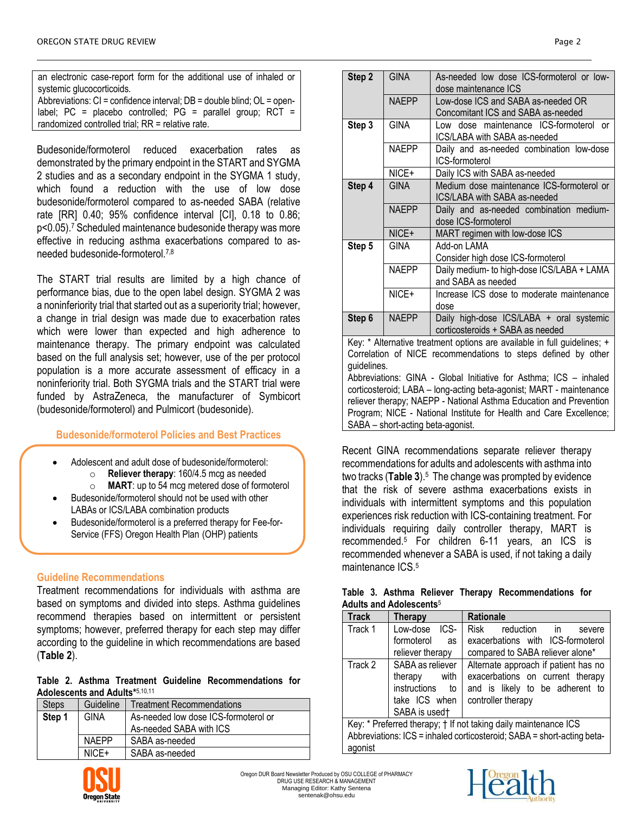| an electronic case-report form for the additional use of inhaled or $ $      |  |  |  |  |
|------------------------------------------------------------------------------|--|--|--|--|
| systemic glucocorticoids.                                                    |  |  |  |  |
| Abbreviations: $CI =$ confidence interval; $DB =$ double blind; $OL =$ open- |  |  |  |  |
| label; PC = placebo controlled; PG = parallel group; RCT = $\vert$           |  |  |  |  |
| randomized controlled trial; RR = relative rate.                             |  |  |  |  |

Budesonide/formoterol reduced exacerbation rates as demonstrated by the primary endpoint in the START and SYGMA 2 studies and as a secondary endpoint in the SYGMA 1 study, which found a reduction with the use of low dose budesonide/formoterol compared to as-needed SABA (relative rate [RR] 0.40; 95% confidence interval [CI], 0.18 to 0.86; p<0.05).<sup>7</sup> Scheduled maintenance budesonide therapy was more effective in reducing asthma exacerbations compared to asneeded budesonide-formoterol.7,8

The START trial results are limited by a high chance of performance bias, due to the open label design. SYGMA 2 was a noninferiority trial that started out as a superiority trial; however, a change in trial design was made due to exacerbation rates which were lower than expected and high adherence to maintenance therapy. The primary endpoint was calculated based on the full analysis set; however, use of the per protocol population is a more accurate assessment of efficacy in a noninferiority trial. Both SYGMA trials and the START trial were funded by AstraZeneca, the manufacturer of Symbicort (budesonide/formoterol) and Pulmicort (budesonide).

# **Budesonide/formoterol Policies and Best Practices**

- Adolescent and adult dose of budesonide/formoterol:
	- o **Reliever therapy**: 160/4.5 mcg as needed
	- o **MART**: up to 54 mcg metered dose of formoterol
- Budesonide/formoterol should not be used with other LABAs or ICS/LABA combination products
- Budesonide/formoterol is a preferred therapy for Fee-for-Service (FFS) Oregon Health Plan (OHP) patients

## **Guideline Recommendations**

Treatment recommendations for individuals with asthma are based on symptoms and divided into steps. Asthma guidelines recommend therapies based on intermittent or persistent symptoms; however, preferred therapy for each step may differ according to the guideline in which recommendations are based (**Table 2**).

### **Table 2. Asthma Treatment Guideline Recommendations for Adolescents and Adults\*** 5,10,11

| <b>Steps</b> | Guideline    | <b>Treatment Recommendations</b>     |  |
|--------------|--------------|--------------------------------------|--|
| Step 1       | <b>GINA</b>  | As-needed low dose ICS-formoterol or |  |
|              |              | As-needed SABA with ICS              |  |
|              | <b>NAEPP</b> | SABA as-needed                       |  |
|              | $NICE+$      | SABA as-needed                       |  |



Oregon DUR Board Newsletter Produced by OSU COLLEGE of PHARMACY DRUG USE RESEARCH & MANAGEMENT Managing Editor: Kathy Sentena sentenak@ohsu.edu

| Step 2                                                                                    | <b>GINA</b>                                        | As-needed low dose ICS-formoterol or low-  |  |  |
|-------------------------------------------------------------------------------------------|----------------------------------------------------|--------------------------------------------|--|--|
|                                                                                           |                                                    | dose maintenance ICS                       |  |  |
|                                                                                           | <b>NAEPP</b>                                       | Low-dose ICS and SABA as-needed OR         |  |  |
|                                                                                           |                                                    | Concomitant ICS and SABA as-needed         |  |  |
| Step 3                                                                                    | GINA                                               | Low dose maintenance ICS-formoterol or     |  |  |
|                                                                                           |                                                    | ICS/LABA with SABA as-needed               |  |  |
|                                                                                           | <b>NAEPP</b>                                       | Daily and as-needed combination low-dose   |  |  |
|                                                                                           |                                                    | ICS-formoterol                             |  |  |
|                                                                                           | NICE+                                              | Daily ICS with SABA as-needed              |  |  |
| Step 4                                                                                    | <b>GINA</b>                                        | Medium dose maintenance ICS-formoterol or  |  |  |
|                                                                                           |                                                    | ICS/LABA with SABA as-needed               |  |  |
|                                                                                           | <b>NAEPP</b>                                       | Daily and as-needed combination medium-    |  |  |
|                                                                                           |                                                    | dose ICS-formoterol                        |  |  |
|                                                                                           | NICE+                                              | MART regimen with low-dose ICS             |  |  |
| Step 5<br>Add-on LAMA<br><b>GINA</b><br>Consider high dose ICS-formoterol<br><b>NAEPP</b> |                                                    |                                            |  |  |
|                                                                                           |                                                    |                                            |  |  |
|                                                                                           |                                                    | Daily medium- to high-dose ICS/LABA + LAMA |  |  |
|                                                                                           |                                                    | and SABA as needed                         |  |  |
|                                                                                           | NICE+<br>Increase ICS dose to moderate maintenance |                                            |  |  |
|                                                                                           |                                                    | dose                                       |  |  |
| Step 6                                                                                    | <b>NAEPP</b>                                       | Daily high-dose ICS/LABA + oral systemic   |  |  |
|                                                                                           | corticosteroids + SABA as needed                   |                                            |  |  |
| Key: * Alternative treatment options are available in full guidelines; +                  |                                                    |                                            |  |  |
| Correlation of NICE recommendations to steps defined by other                             |                                                    |                                            |  |  |
| guidelines.                                                                               |                                                    |                                            |  |  |
| Abbreviations: GINA - Global Initiative for Asthma; ICS - inhaled                         |                                                    |                                            |  |  |

corticosteroid; LABA – long-acting beta-agonist; MART - maintenance reliever therapy; NAEPP - National Asthma Education and Prevention Program; NICE - National Institute for Health and Care Excellence; SABA – short-acting beta-agonist.

Recent GINA recommendations separate reliever therapy recommendations for adults and adolescents with asthma into two tracks (**Table 3**).<sup>5</sup> The change was prompted by evidence that the risk of severe asthma exacerbations exists in individuals with intermittent symptoms and this population experiences risk reduction with ICS-containing treatment. For individuals requiring daily controller therapy, MART is recommended.<sup>5</sup> For children 6-11 years, an ICS is recommended whenever a SABA is used, if not taking a daily maintenance ICS.<sup>5</sup>

### **Table 3. Asthma Reliever Therapy Recommendations for Adults and Adolescents**<sup>5</sup>

| Track   | Therapy          | <b>Rationale</b>                     |
|---------|------------------|--------------------------------------|
| Track 1 | Low-dose ICS-    | reduction in<br>Risk<br>severe       |
|         | formoterol<br>as | exacerbations with ICS-formoterol    |
|         | reliever therapy | compared to SABA reliever alone*     |
| Track 2 | SABA as reliever | Alternate approach if patient has no |
|         | with<br>therapy  | exacerbations on current therapy     |
|         | instructions to  | and is likely to be adherent to      |
|         | take ICS when    | controller therapy                   |
|         | SABA is used†    |                                      |

Key: \* Preferred therapy; † If not taking daily maintenance ICS Abbreviations: ICS = inhaled corticosteroid; SABA = short-acting betaagonist